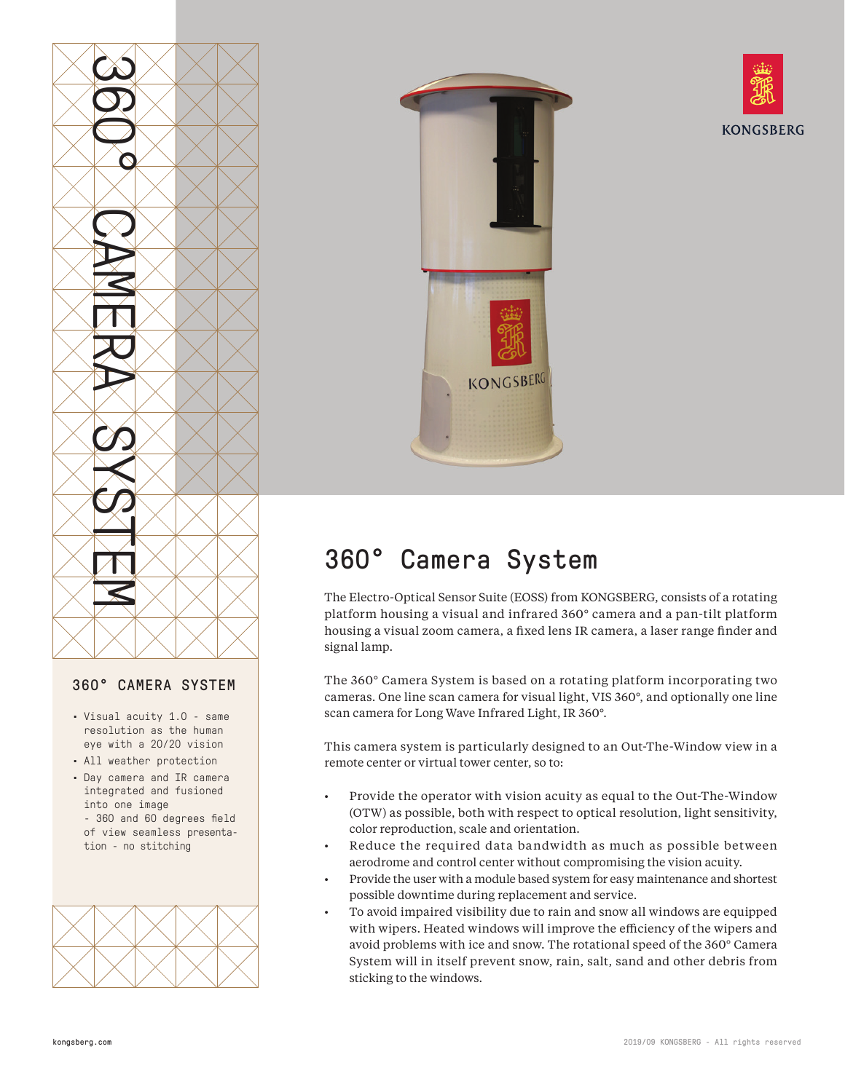

## 360° CAMERA SYSTEM

- Visual acuity 1.0 same resolution as the human eye with a 20/20 vision
- All weather protection
- Day camera and IR camera integrated and fusioned into one image - 360 and 60 degrees field of view seamless presentation - no stitching







## 360° Camera System

The Electro-Optical Sensor Suite (EOSS) from KONGSBERG, consists of a rotating platform housing a visual and infrared 360° camera and a pan-tilt platform housing a visual zoom camera, a fixed lens IR camera, a laser range finder and signal lamp.

The 360° Camera System is based on a rotating platform incorporating two cameras. One line scan camera for visual light, VIS 360°, and optionally one line scan camera for Long Wave Infrared Light, IR 360°.

This camera system is particularly designed to an Out-The-Window view in a remote center or virtual tower center, so to:

- Provide the operator with vision acuity as equal to the Out-The-Window (OTW) as possible, both with respect to optical resolution, light sensitivity, color reproduction, scale and orientation.
- Reduce the required data bandwidth as much as possible between aerodrome and control center without compromising the vision acuity.
- Provide the user with a module based system for easy maintenance and shortest possible downtime during replacement and service.
- To avoid impaired visibility due to rain and snow all windows are equipped with wipers. Heated windows will improve the efficiency of the wipers and avoid problems with ice and snow. The rotational speed of the 360° Camera System will in itself prevent snow, rain, salt, sand and other debris from sticking to the windows.